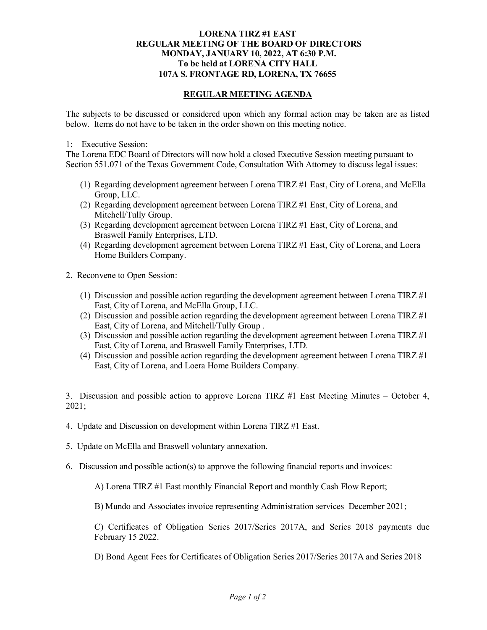## **LORENA TIRZ #1 EAST REGULAR MEETING OF THE BOARD OF DIRECTORS MONDAY, JANUARY 10, 2022, AT 6:30 P.M. To be held at LORENA CITY HALL 107A S. FRONTAGE RD, LORENA, TX 76655**

## **REGULAR MEETING AGENDA**

The subjects to be discussed or considered upon which any formal action may be taken are as listed below. Items do not have to be taken in the order shown on this meeting notice.

## 1: Executive Session:

The Lorena EDC Board of Directors will now hold a closed Executive Session meeting pursuant to Section 551.071 of the Texas Government Code, Consultation With Attorney to discuss legal issues:

- (1) Regarding development agreement between Lorena TIRZ #1 East, City of Lorena, and McElla Group, LLC.
- (2) Regarding development agreement between Lorena TIRZ #1 East, City of Lorena, and Mitchell/Tully Group.
- (3) Regarding development agreement between Lorena TIRZ #1 East, City of Lorena, and Braswell Family Enterprises, LTD.
- (4) Regarding development agreement between Lorena TIRZ #1 East, City of Lorena, and Loera Home Builders Company.
- 2. Reconvene to Open Session:
	- (1) Discussion and possible action regarding the development agreement between Lorena TIRZ #1 East, City of Lorena, and McElla Group, LLC.
	- (2) Discussion and possible action regarding the development agreement between Lorena TIRZ #1 East, City of Lorena, and Mitchell/Tully Group .
	- (3) Discussion and possible action regarding the development agreement between Lorena TIRZ  $\#1$ East, City of Lorena, and Braswell Family Enterprises, LTD.
	- (4) Discussion and possible action regarding the development agreement between Lorena TIRZ  $\#1$ East, City of Lorena, and Loera Home Builders Company.

3. Discussion and possible action to approve Lorena TIRZ #1 East Meeting Minutes – October 4, 2021;

- 4. Update and Discussion on development within Lorena TIRZ #1 East.
- 5. Update on McElla and Braswell voluntary annexation.
- 6. Discussion and possible action(s) to approve the following financial reports and invoices:

A) Lorena TIRZ #1 East monthly Financial Report and monthly Cash Flow Report;

B) Mundo and Associates invoice representing Administration services December 2021;

C) Certificates of Obligation Series 2017/Series 2017A, and Series 2018 payments due February 15 2022.

D) Bond Agent Fees for Certificates of Obligation Series 2017/Series 2017A and Series 2018